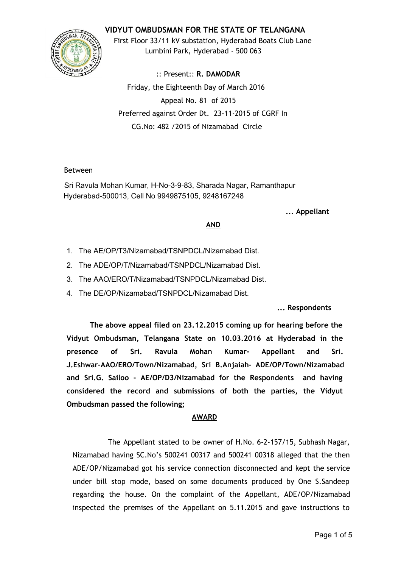# **VIDYUT OMBUDSMAN FOR THE STATE OF TELANGANA**



First Floor 33/11 kV substation, Hyderabad Boats Club Lane Lumbini Park, Hyderabad ‐ 500 063

:: Present:: **R. DAMODAR** Friday, the Eighteenth Day of March 2016 Appeal No. 81 of 2015 Preferred against Order Dt. 23‐11‐2015 of CGRF In CG.No: 482 /2015 of Nizamabad Circle

#### Between

Sri Ravula Mohan Kumar, H-No-3-9-83, Sharada Nagar, Ramanthapur Hyderabad-500013, Cell No 9949875105, 9248167248

**... Appellant**

## **AND**

- 1. The AE/OP/T3/Nizamabad/TSNPDCL/Nizamabad Dist.
- 2. The ADE/OP/T/Nizamabad/TSNPDCL/Nizamabad Dist.
- 3. The AAO/ERO/T/Nizamabad/TSNPDCL/Nizamabad Dist.
- 4. The DE/OP/Nizamabad/TSNPDCL/Nizamabad Dist.

## **... Respondents**

**The above appeal filed on 23.12.2015 coming up for hearing before the Vidyut Ombudsman, Telangana State on 10.03.2016 at Hyderabad in the presence of Sri. Ravula Mohan Kumar‐ Appellant and Sri. J.Eshwar‐AAO/ERO/Town/Nizamabad, Sri B.Anjaiah‐ ADE/OP/Town/Nizamabad and Sri.G. Sailoo ‐ AE/OP/D3/Nizamabad for the Respondents and having considered the record and submissions of both the parties, the Vidyut Ombudsman passed the following;**

## **AWARD**

The Appellant stated to be owner of H.No. 6‐2‐157/15, Subhash Nagar, Nizamabad having SC.No's 500241 00317 and 500241 00318 alleged that the then ADE/OP/Nizamabad got his service connection disconnected and kept the service under bill stop mode, based on some documents produced by One S.Sandeep regarding the house. On the complaint of the Appellant, ADE/OP/Nizamabad inspected the premises of the Appellant on 5.11.2015 and gave instructions to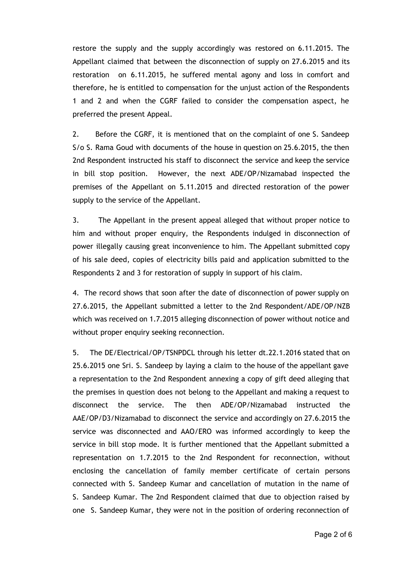restore the supply and the supply accordingly was restored on 6.11.2015. The Appellant claimed that between the disconnection of supply on 27.6.2015 and its restoration on 6.11.2015, he suffered mental agony and loss in comfort and therefore, he is entitled to compensation for the unjust action of the Respondents 1 and 2 and when the CGRF failed to consider the compensation aspect, he preferred the present Appeal.

2. Before the CGRF, it is mentioned that on the complaint of one S. Sandeep S/o S. Rama Goud with documents of the house in question on 25.6.2015, the then 2nd Respondent instructed his staff to disconnect the service and keep the service in bill stop position. However, the next ADE/OP/Nizamabad inspected the premises of the Appellant on 5.11.2015 and directed restoration of the power supply to the service of the Appellant.

3. The Appellant in the present appeal alleged that without proper notice to him and without proper enquiry, the Respondents indulged in disconnection of power illegally causing great inconvenience to him. The Appellant submitted copy of his sale deed, copies of electricity bills paid and application submitted to the Respondents 2 and 3 for restoration of supply in support of his claim.

4. The record shows that soon after the date of disconnection of power supply on 27.6.2015, the Appellant submitted a letter to the 2nd Respondent/ADE/OP/NZB which was received on 1.7.2015 alleging disconnection of power without notice and without proper enquiry seeking reconnection.

5. The DE/Electrical/OP/TSNPDCL through his letter dt.22.1.2016 stated that on 25.6.2015 one Sri. S. Sandeep by laying a claim to the house of the appellant gave a representation to the 2nd Respondent annexing a copy of gift deed alleging that the premises in question does not belong to the Appellant and making a request to disconnect the service. The then ADE/OP/Nizamabad instructed the AAE/OP/D3/Nizamabad to disconnect the service and accordingly on 27.6.2015 the service was disconnected and AAO/ERO was informed accordingly to keep the service in bill stop mode. It is further mentioned that the Appellant submitted a representation on 1.7.2015 to the 2nd Respondent for reconnection, without enclosing the cancellation of family member certificate of certain persons connected with S. Sandeep Kumar and cancellation of mutation in the name of S. Sandeep Kumar. The 2nd Respondent claimed that due to objection raised by one S. Sandeep Kumar, they were not in the position of ordering reconnection of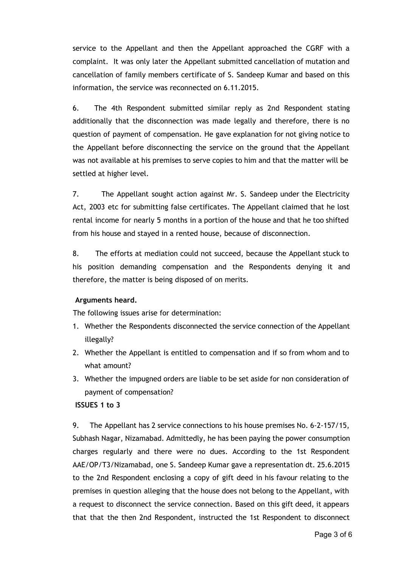service to the Appellant and then the Appellant approached the CGRF with a complaint. It was only later the Appellant submitted cancellation of mutation and cancellation of family members certificate of S. Sandeep Kumar and based on this information, the service was reconnected on 6.11.2015.

6. The 4th Respondent submitted similar reply as 2nd Respondent stating additionally that the disconnection was made legally and therefore, there is no question of payment of compensation. He gave explanation for not giving notice to the Appellant before disconnecting the service on the ground that the Appellant was not available at his premises to serve copies to him and that the matter will be settled at higher level.

7. The Appellant sought action against Mr. S. Sandeep under the Electricity Act, 2003 etc for submitting false certificates. The Appellant claimed that he lost rental income for nearly 5 months in a portion of the house and that he too shifted from his house and stayed in a rented house, because of disconnection.

8. The efforts at mediation could not succeed, because the Appellant stuck to his position demanding compensation and the Respondents denying it and therefore, the matter is being disposed of on merits.

## **Arguments heard.**

The following issues arise for determination:

- 1. Whether the Respondents disconnected the service connection of the Appellant illegally?
- 2. Whether the Appellant is entitled to compensation and if so from whom and to what amount?
- 3. Whether the impugned orders are liable to be set aside for non consideration of payment of compensation?

#### **ISSUES 1 to 3**

9. The Appellant has 2 service connections to his house premises No. 6-2-157/15, Subhash Nagar, Nizamabad. Admittedly, he has been paying the power consumption charges regularly and there were no dues. According to the 1st Respondent AAE/OP/T3/Nizamabad, one S. Sandeep Kumar gave a representation dt. 25.6.2015 to the 2nd Respondent enclosing a copy of gift deed in his favour relating to the premises in question alleging that the house does not belong to the Appellant, with a request to disconnect the service connection. Based on this gift deed, it appears that that the then 2nd Respondent, instructed the 1st Respondent to disconnect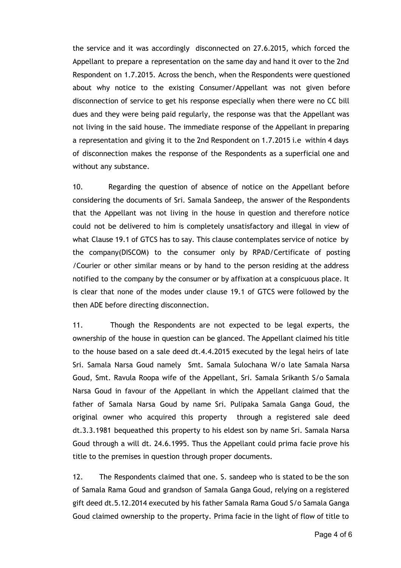the service and it was accordingly disconnected on 27.6.2015, which forced the Appellant to prepare a representation on the same day and hand it over to the 2nd Respondent on 1.7.2015. Across the bench, when the Respondents were questioned about why notice to the existing Consumer/Appellant was not given before disconnection of service to get his response especially when there were no CC bill dues and they were being paid regularly, the response was that the Appellant was not living in the said house. The immediate response of the Appellant in preparing a representation and giving it to the 2nd Respondent on 1.7.2015 i.e within 4 days of disconnection makes the response of the Respondents as a superficial one and without any substance.

10. Regarding the question of absence of notice on the Appellant before considering the documents of Sri. Samala Sandeep, the answer of the Respondents that the Appellant was not living in the house in question and therefore notice could not be delivered to him is completely unsatisfactory and illegal in view of what Clause 19.1 of GTCS has to say. This clause contemplates service of notice by the company(DISCOM) to the consumer only by RPAD/Certificate of posting /Courier or other similar means or by hand to the person residing at the address notified to the company by the consumer or by affixation at a conspicuous place. It is clear that none of the modes under clause 19.1 of GTCS were followed by the then ADE before directing disconnection.

11. Though the Respondents are not expected to be legal experts, the ownership of the house in question can be glanced. The Appellant claimed his title to the house based on a sale deed dt.4.4.2015 executed by the legal heirs of late Sri. Samala Narsa Goud namely Smt. Samala Sulochana W/o late Samala Narsa Goud, Smt. Ravula Roopa wife of the Appellant, Sri. Samala Srikanth S/o Samala Narsa Goud in favour of the Appellant in which the Appellant claimed that the father of Samala Narsa Goud by name Sri. Pulipaka Samala Ganga Goud, the original owner who acquired this property through a registered sale deed dt.3.3.1981 bequeathed this property to his eldest son by name Sri. Samala Narsa Goud through a will dt. 24.6.1995. Thus the Appellant could prima facie prove his title to the premises in question through proper documents.

12. The Respondents claimed that one. S. sandeep who is stated to be the son of Samala Rama Goud and grandson of Samala Ganga Goud, relying on a registered gift deed dt.5.12.2014 executed by his father Samala Rama Goud S/o Samala Ganga Goud claimed ownership to the property. Prima facie in the light of flow of title to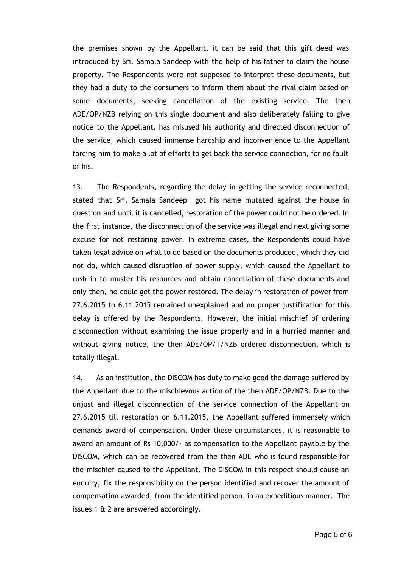the premises shown by the Appellant, it can be said that this gift deed was introduced by Sri. Samala Sandeep with the help of his father to claim the house property. The Respondents were not supposed to interpret these documents, but they had a duty to the consumers to inform them about the rival claim based on some documents, seeking cancellation of the existing service. The then ADE/OP/NZB relying on this single document and also deliberately failing to give notice to the Appellant, has misused his authority and directed disconnection of the service, which caused immense hardship and inconvenience to the Appellant forcing him to make a lot of efforts to get back the service connection, for no fault of his.

13. The Respondents, regarding the delay in getting the service reconnected, stated that Sri. Samala Sandeep got his name mutated against the house in question and until it is cancelled, restoration of the power could not be ordered. In the first instance, the disconnection of the service was illegal and next giving some excuse for not restoring power. In extreme cases, the Respondents could have taken legal advice on what to do based on the documents produced, which they did not do, which caused disruption of power supply, which caused the Appellant to rush in to muster his resources and obtain cancellation of these documents and only then, he could get the power restored. The delay in restoration of power from 27.6.2015 to 6.11.2015 remained unexplained and no proper justification for this delay is offered by the Respondents. However, the initial mischief of ordering disconnection without examining the issue properly and in a hurried manner and without giving notice, the then ADE/OP/T/NZB ordered disconnection, which is totally illegal.

14. As an institution, the DISCOM has duty to make good the damage suffered by the Appellant due to the mischievous action of the then ADE/OP/NZB. Due to the unjust and illegal disconnection of the service connection of the Appellant on 27.6.2015 till restoration on 6.11.2015, the Appellant suffered immensely which demands award of compensation. Under these circumstances, it is reasonable to award an amount of Rs 10,000/‐ as compensation to the Appellant payable by the DISCOM, which can be recovered from the then ADE who is found responsible for the mischief caused to the Appellant. The DISCOM in this respect should cause an enquiry, fix the responsibility on the person identified and recover the amount of compensation awarded, from the identified person, in an expeditious manner. The issues 1 & 2 are answered accordingly.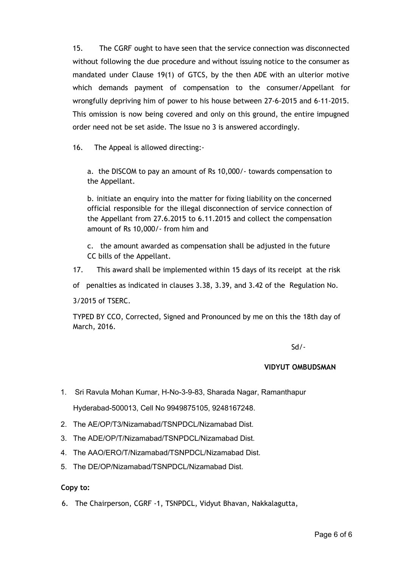15. The CGRF ought to have seen that the service connection was disconnected without following the due procedure and without issuing notice to the consumer as mandated under Clause 19(1) of GTCS, by the then ADE with an ulterior motive which demands payment of compensation to the consumer/Appellant for wrongfully depriving him of power to his house between 27‐6‐2015 and 6‐11‐2015. This omission is now being covered and only on this ground, the entire impugned order need not be set aside. The Issue no 3 is answered accordingly.

16. The Appeal is allowed directing:‐

a. the DISCOM to pay an amount of Rs 10,000/‐ towards compensation to the Appellant.

b. initiate an enquiry into the matter for fixing liability on the concerned official responsible for the illegal disconnection of service connection of the Appellant from 27.6.2015 to 6.11.2015 and collect the compensation amount of Rs 10,000/‐ from him and

c. the amount awarded as compensation shall be adjusted in the future CC bills of the Appellant.

17. This award shall be implemented within 15 days of its receipt at the risk

of penalties as indicated in clauses 3.38, 3.39, and 3.42 of the Regulation No.

3/2015 of TSERC.

TYPED BY CCO, Corrected, Signed and Pronounced by me on this the 18th day of March, 2016.

Sd/‐

#### **VIDYUT OMBUDSMAN**

1. Sri Ravula Mohan Kumar, H-No-3-9-83, Sharada Nagar, Ramanthapur Hyderabad-500013, Cell No 9949875105, 9248167248.

- 2. The AE/OP/T3/Nizamabad/TSNPDCL/Nizamabad Dist.
- 3. The ADE/OP/T/Nizamabad/TSNPDCL/Nizamabad Dist.
- 4. The AAO/ERO/T/Nizamabad/TSNPDCL/Nizamabad Dist.
- 5. The DE/OP/Nizamabad/TSNPDCL/Nizamabad Dist.

**Copy to:**

6. The Chairperson, CGRF ‐1, TSNPDCL, Vidyut Bhavan, Nakkalagutta,